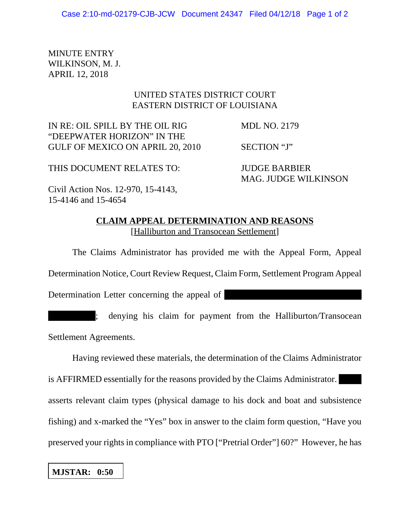MINUTE ENTRY WILKINSON, M. J. APRIL 12, 2018

## UNITED STATES DISTRICT COURT EASTERN DISTRICT OF LOUISIANA

IN RE: OIL SPILL BY THE OIL RIG MDL NO. 2179 "DEEPWATER HORIZON" IN THE GULF OF MEXICO ON APRIL 20, 2010 SECTION "J"

THIS DOCUMENT RELATES TO: JUDGE BARBIER

MAG. JUDGE WILKINSON

Civil Action Nos. 12-970, 15-4143, 15-4146 and 15-4654

## **CLAIM APPEAL DETERMINATION AND REASONS** [Halliburton and Transocean Settlement]

The Claims Administrator has provided me with the Appeal Form, Appeal Determination Notice, Court Review Request, Claim Form, Settlement Program Appeal Determination Letter concerning the appeal of

; denying his claim for payment from the Halliburton/Transocean Settlement Agreements.

Having reviewed these materials, the determination of the Claims Administrator

is AFFIRMED essentially for the reasons provided by the Claims Administrator. asserts relevant claim types (physical damage to his dock and boat and subsistence fishing) and x-marked the "Yes" box in answer to the claim form question, "Have you preserved your rights in compliance with PTO ["Pretrial Order"] 60?" However, he has

## **MJSTAR: 0:50**